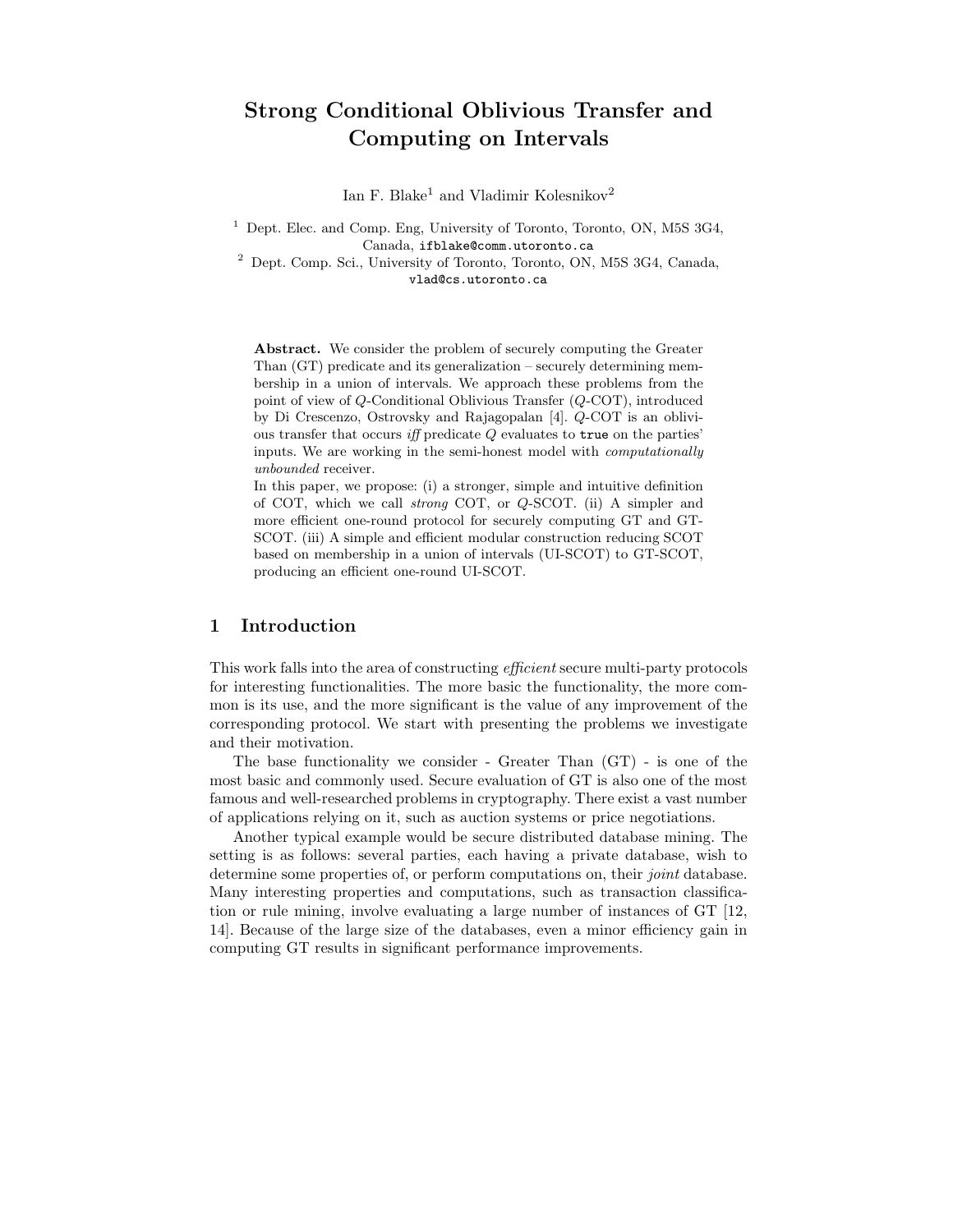# Strong Conditional Oblivious Transfer and Computing on Intervals

Ian F. Blake <sup>1</sup> and Vladimir Kolesnikov 2

 $1$  Dept. Elec. and Comp. Eng, University of Toronto, Toronto, ON, M5S 3G4, Canada, ifblake@comm.utoronto.ca

<sup>2</sup> Dept. Comp. Sci., University of Toronto, Toronto, ON, M5S 3G4, Canada, vlad@cs.utoronto.ca

Abstract. We consider the problem of securely computing the Greater Than (GT) predicate and its generalization – securely determining membership in a union of intervals. We approach these problems from the point of view of Q-Conditional Oblivious Transfer (Q-COT), introduced by Di Crescenzo, Ostrovsky and Rajagopalan [4]. Q-COT is an oblivious transfer that occurs iff predicate  $Q$  evaluates to true on the parties' inputs. We are working in the semi-honest model with computationally unbounded receiver.

In this paper, we propose: (i) a stronger, simple and intuitive definition of COT, which we call strong COT, or Q-SCOT. (ii) A simpler and more efficient one-round protocol for securely computing GT and GT-SCOT. (iii) A simple and efficient modular construction reducing SCOT based on membership in a union of intervals (UI-SCOT) to GT-SCOT, producing an efficient one-round UI-SCOT.

## 1 Introduction

This work falls into the area of constructing efficient secure multi-party protocols for interesting functionalities. The more basic the functionality, the more common is its use, and the more significant is the value of any improvement of the corresponding protocol. We start with presenting the problems we investigate and their motivation.

The base functionality we consider - Greater Than (GT) - is one of the most basic and commonly used. Secure evaluation of GT is also one of the most famous and well-researched problems in cryptography. There exist a vast number of applications relying on it, such as auction systems or price negotiations.

Another typical example would be secure distributed database mining. The setting is as follows: several parties, each having a private database, wish to determine some properties of, or perform computations on, their *joint* database. Many interesting properties and computations, such as transaction classification or rule mining, involve evaluating a large number of instances of GT [12, 14]. Because of the large size of the databases, even a minor efficiency gain in computing GT results in significant performance improvements.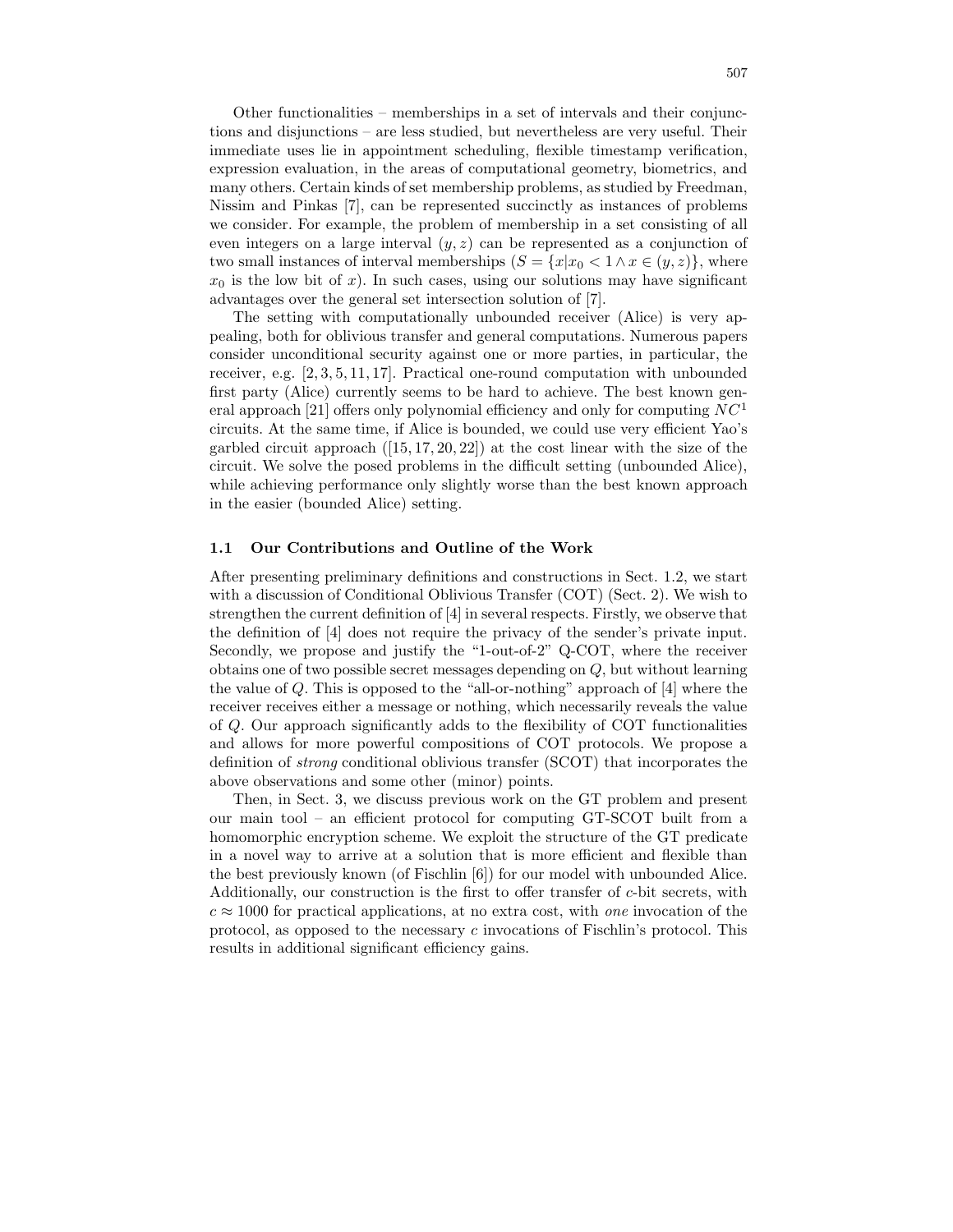Other functionalities – memberships in a set of intervals and their conjunctions and disjunctions – are less studied, but nevertheless are very useful. Their immediate uses lie in appointment scheduling, flexible timestamp verification, expression evaluation, in the areas of computational geometry, biometrics, and many others. Certain kinds of set membership problems, as studied by Freedman, Nissim and Pinkas [7], can be represented succinctly as instances of problems we consider. For example, the problem of membership in a set consisting of all even integers on a large interval  $(y, z)$  can be represented as a conjunction of two small instances of interval memberships  $(S = \{x | x_0 < 1 \land x \in (y, z)\}\)$ , where  $x_0$  is the low bit of x). In such cases, using our solutions may have significant advantages over the general set intersection solution of [7].

The setting with computationally unbounded receiver (Alice) is very appealing, both for oblivious transfer and general computations. Numerous papers consider unconditional security against one or more parties, in particular, the receiver, e.g. [2, 3, 5, 11, 17]. Practical one-round computation with unbounded first party (Alice) currently seems to be hard to achieve. The best known general approach [21] offers only polynomial efficiency and only for computing  $NC<sup>1</sup>$ circuits. At the same time, if Alice is bounded, we could use very efficient Yao's garbled circuit approach  $([15, 17, 20, 22])$  at the cost linear with the size of the circuit. We solve the posed problems in the difficult setting (unbounded Alice), while achieving performance only slightly worse than the best known approach in the easier (bounded Alice) setting.

#### 1.1 Our Contributions and Outline of the Work

After presenting preliminary definitions and constructions in Sect. 1.2, we start with a discussion of Conditional Oblivious Transfer (COT) (Sect. 2). We wish to strengthen the current definition of [4] in several respects. Firstly, we observe that the definition of [4] does not require the privacy of the sender's private input. Secondly, we propose and justify the "1-out-of-2" Q-COT, where the receiver obtains one of two possible secret messages depending on Q, but without learning the value of Q. This is opposed to the "all-or-nothing" approach of [4] where the receiver receives either a message or nothing, which necessarily reveals the value of Q. Our approach significantly adds to the flexibility of COT functionalities and allows for more powerful compositions of COT protocols. We propose a definition of strong conditional oblivious transfer (SCOT) that incorporates the above observations and some other (minor) points.

Then, in Sect. 3, we discuss previous work on the GT problem and present our main tool – an efficient protocol for computing GT-SCOT built from a homomorphic encryption scheme. We exploit the structure of the GT predicate in a novel way to arrive at a solution that is more efficient and flexible than the best previously known (of Fischlin [6]) for our model with unbounded Alice. Additionally, our construction is the first to offer transfer of c-bit secrets, with  $c \approx 1000$  for practical applications, at no extra cost, with one invocation of the protocol, as opposed to the necessary c invocations of Fischlin's protocol. This results in additional significant efficiency gains.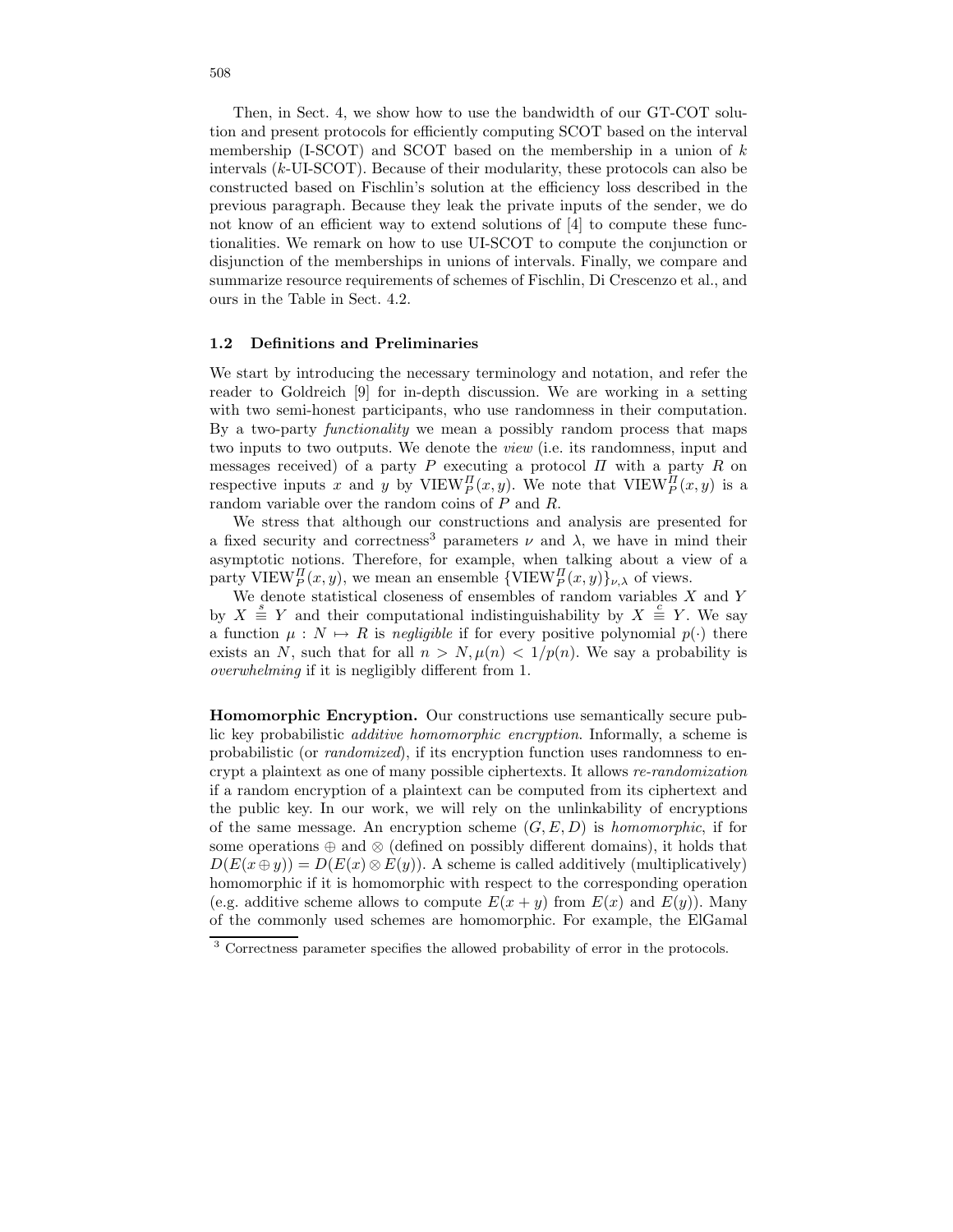Then, in Sect. 4, we show how to use the bandwidth of our GT-COT solution and present protocols for efficiently computing SCOT based on the interval membership (I-SCOT) and SCOT based on the membership in a union of  $k$ intervals (k-UI-SCOT). Because of their modularity, these protocols can also be constructed based on Fischlin's solution at the efficiency loss described in the previous paragraph. Because they leak the private inputs of the sender, we do not know of an efficient way to extend solutions of [4] to compute these functionalities. We remark on how to use UI-SCOT to compute the conjunction or disjunction of the memberships in unions of intervals. Finally, we compare and summarize resource requirements of schemes of Fischlin, Di Crescenzo et al., and ours in the Table in Sect. 4.2.

#### 1.2 Definitions and Preliminaries

We start by introducing the necessary terminology and notation, and refer the reader to Goldreich [9] for in-depth discussion. We are working in a setting with two semi-honest participants, who use randomness in their computation. By a two-party functionality we mean a possibly random process that maps two inputs to two outputs. We denote the view (i.e. its randomness, input and messages received) of a party P executing a protocol  $\Pi$  with a party R on respective inputs x and y by  $VIEW_P^H(x, y)$ . We note that  $VIEW_P^H(x, y)$  is a random variable over the random coins of P and R.

We stress that although our constructions and analysis are presented for a fixed security and correctness<sup>3</sup> parameters  $\nu$  and  $\lambda$ , we have in mind their asymptotic notions. Therefore, for example, when talking about a view of a party VIEW $_{P}^{H}(x, y)$ , we mean an ensemble  $\{VIEW_{P}^{H}(x, y)\}_{\nu, \lambda}$  of views.

We denote statistical closeness of ensembles of random variables  $X$  and  $Y$ by  $X \triangleq Y$  and their computational indistinguishability by  $X \triangleq Y$ . We say a function  $\mu : N \mapsto R$  is negligible if for every positive polynomial  $p(\cdot)$  there exists an N, such that for all  $n > N$ ,  $\mu(n) < 1/p(n)$ . We say a probability is overwhelming if it is negligibly different from 1.

Homomorphic Encryption. Our constructions use semantically secure public key probabilistic additive homomorphic encryption. Informally, a scheme is probabilistic (or randomized), if its encryption function uses randomness to encrypt a plaintext as one of many possible ciphertexts. It allows re-randomization if a random encryption of a plaintext can be computed from its ciphertext and the public key. In our work, we will rely on the unlinkability of encryptions of the same message. An encryption scheme  $(G, E, D)$  is *homomorphic*, if for some operations  $\oplus$  and  $\otimes$  (defined on possibly different domains), it holds that  $D(E(x \oplus y)) = D(E(x) \otimes E(y))$ . A scheme is called additively (multiplicatively) homomorphic if it is homomorphic with respect to the corresponding operation (e.g. additive scheme allows to compute  $E(x + y)$  from  $E(x)$  and  $E(y)$ ). Many of the commonly used schemes are homomorphic. For example, the ElGamal

<sup>3</sup> Correctness parameter specifies the allowed probability of error in the protocols.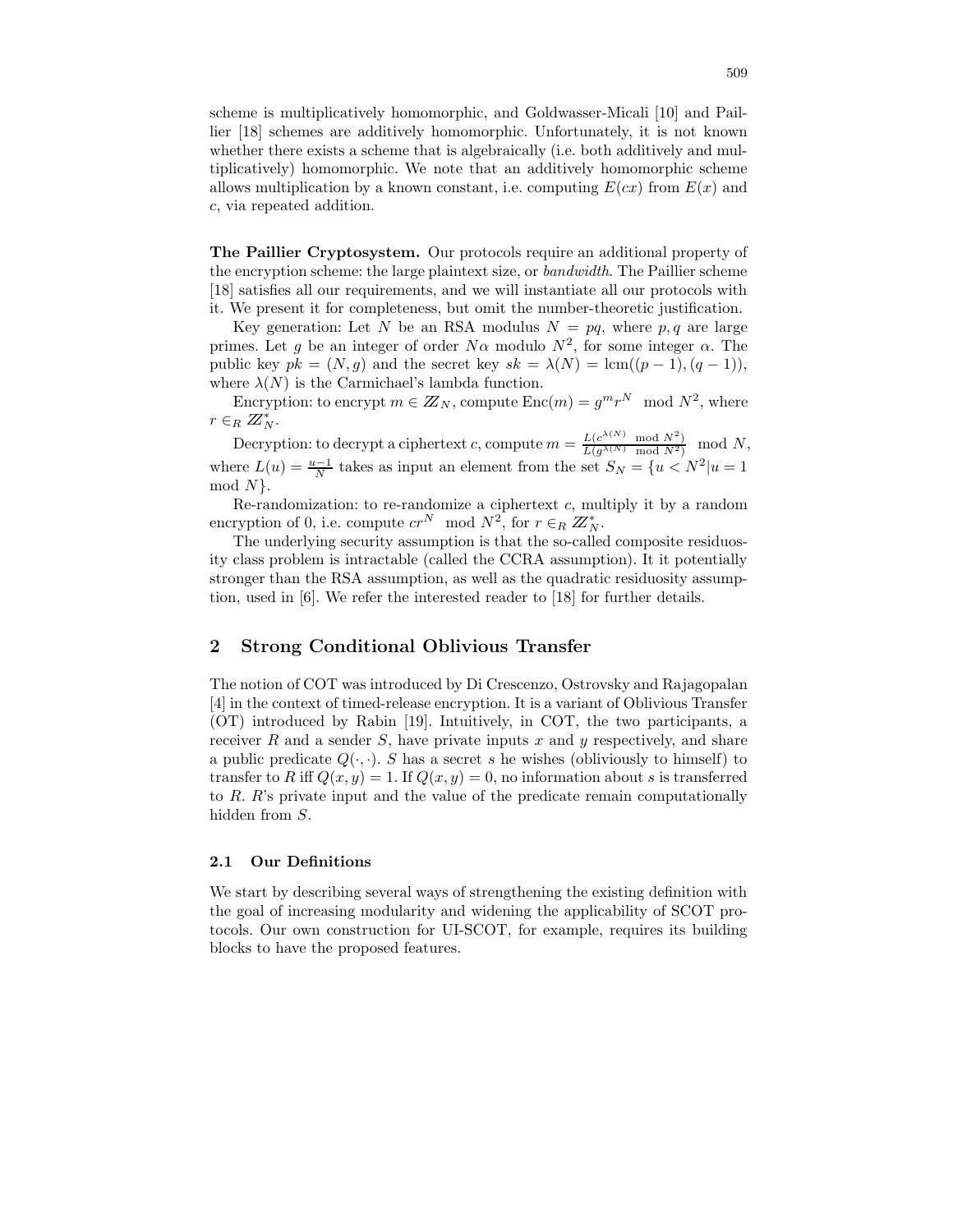scheme is multiplicatively homomorphic, and Goldwasser-Micali [10] and Paillier [18] schemes are additively homomorphic. Unfortunately, it is not known whether there exists a scheme that is algebraically (i.e. both additively and multiplicatively) homomorphic. We note that an additively homomorphic scheme allows multiplication by a known constant, i.e. computing  $E(cx)$  from  $E(x)$  and c, via repeated addition.

The Paillier Cryptosystem. Our protocols require an additional property of the encryption scheme: the large plaintext size, or bandwidth. The Paillier scheme [18] satisfies all our requirements, and we will instantiate all our protocols with it. We present it for completeness, but omit the number-theoretic justification.

Key generation: Let N be an RSA modulus  $N = pq$ , where p, q are large primes. Let g be an integer of order  $N\alpha$  modulo  $N^2$ , for some integer  $\alpha$ . The public key  $pk = (N, g)$  and the secret key  $sk = \lambda(N) = \text{lcm}((p-1), (q-1)),$ where  $\lambda(N)$  is the Carmichael's lambda function.

Encryption: to encrypt  $m \in \mathbb{Z}_N$ , compute  $\text{Enc}(m) = g^m r^N \mod N^2$ , where  $r \in_R \mathbb{Z}_N^*$ .

Decryption: to decrypt a ciphertext c, compute  $m = \frac{L(c^{\lambda(N)} \mod N^2)}{L(g^{\lambda(N)} \mod N^2)} \mod N$ , where  $L(u) = \frac{u-1}{N}$  takes as input an element from the set  $S_N = \{u \lt N^2 | u = 1\}$ mod  $N$ .

Re-randomization: to re-randomize a ciphertext  $c$ , multiply it by a random encryption of 0, i.e. compute  $cr^N \mod N^2$ , for  $r \in_R \mathbb{Z}_N^*$ .

The underlying security assumption is that the so-called composite residuosity class problem is intractable (called the CCRA assumption). It it potentially stronger than the RSA assumption, as well as the quadratic residuosity assumption, used in [6]. We refer the interested reader to [18] for further details.

# 2 Strong Conditional Oblivious Transfer

The notion of COT was introduced by Di Crescenzo, Ostrovsky and Rajagopalan [4] in the context of timed-release encryption. It is a variant of Oblivious Transfer (OT) introduced by Rabin [19]. Intuitively, in COT, the two participants, a receiver  $R$  and a sender  $S$ , have private inputs  $x$  and  $y$  respectively, and share a public predicate  $Q(\cdot, \cdot)$ . S has a secret s he wishes (obliviously to himself) to transfer to R iff  $Q(x, y) = 1$ . If  $Q(x, y) = 0$ , no information about s is transferred to R. R's private input and the value of the predicate remain computationally hidden from S.

#### 2.1 Our Definitions

We start by describing several ways of strengthening the existing definition with the goal of increasing modularity and widening the applicability of SCOT protocols. Our own construction for UI-SCOT, for example, requires its building blocks to have the proposed features.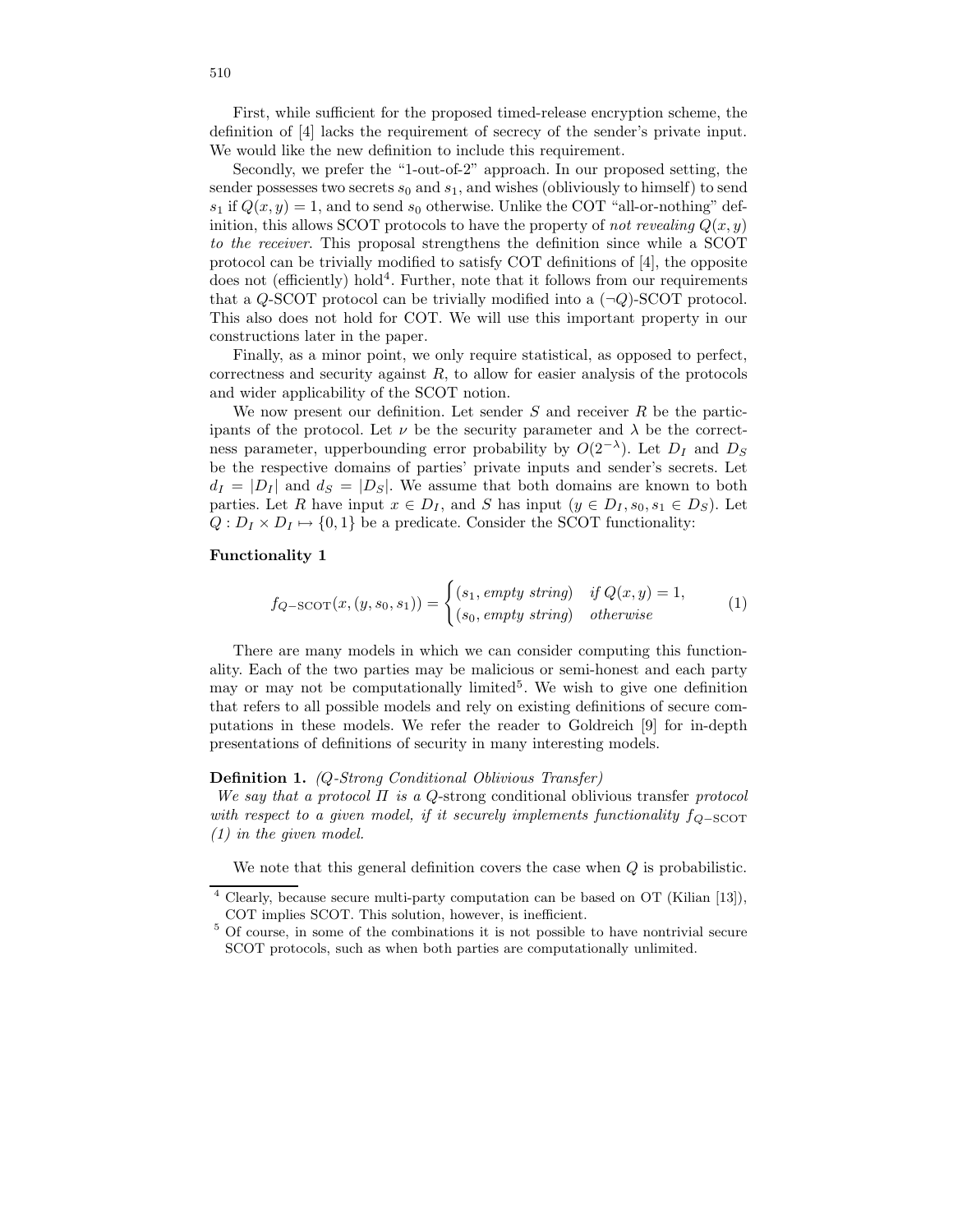First, while sufficient for the proposed timed-release encryption scheme, the definition of [4] lacks the requirement of secrecy of the sender's private input. We would like the new definition to include this requirement.

Secondly, we prefer the "1-out-of-2" approach. In our proposed setting, the sender possesses two secrets  $s_0$  and  $s_1$ , and wishes (obliviously to himself) to send  $s_1$  if  $Q(x, y) = 1$ , and to send  $s_0$  otherwise. Unlike the COT "all-or-nothing" definition, this allows SCOT protocols to have the property of not revealing  $Q(x, y)$ to the receiver. This proposal strengthens the definition since while a SCOT protocol can be trivially modified to satisfy COT definitions of [4], the opposite does not (efficiently) hold<sup>4</sup>. Further, note that it follows from our requirements that a Q-SCOT protocol can be trivially modified into a  $(\neg Q)$ -SCOT protocol. This also does not hold for COT. We will use this important property in our constructions later in the paper.

Finally, as a minor point, we only require statistical, as opposed to perfect,  $correctness$  and security against  $R$ , to allow for easier analysis of the protocols and wider applicability of the SCOT notion.

We now present our definition. Let sender  $S$  and receiver  $R$  be the participants of the protocol. Let  $\nu$  be the security parameter and  $\lambda$  be the correctness parameter, upperbounding error probability by  $O(2^{-\lambda})$ . Let  $D_I$  and  $D_S$ be the respective domains of parties' private inputs and sender's secrets. Let  $d_I = |D_I|$  and  $d_S = |D_S|$ . We assume that both domains are known to both parties. Let R have input  $x \in D_I$ , and S has input  $(y \in D_I, s_0, s_1 \in D_S)$ . Let  $Q: D_I \times D_I \mapsto \{0,1\}$  be a predicate. Consider the SCOT functionality:

#### Functionality 1

$$
f_{Q-\text{SCOT}}(x,(y,s_0,s_1)) = \begin{cases} (s_1, empty \text{ string}) & \text{if } Q(x,y) = 1, \\ (s_0, empty \text{ string}) & \text{otherwise} \end{cases}
$$
 (1)

There are many models in which we can consider computing this functionality. Each of the two parties may be malicious or semi-honest and each party may or may not be computationally limited<sup>5</sup>. We wish to give one definition that refers to all possible models and rely on existing definitions of secure computations in these models. We refer the reader to Goldreich [9] for in-depth presentations of definitions of security in many interesting models.

#### Definition 1. (Q-Strong Conditional Oblivious Transfer)

We say that a protocol  $\Pi$  is a Q-strong conditional oblivious transfer protocol with respect to a given model, if it securely implements functionality  $f_{O-SCOT}$ (1) in the given model.

We note that this general definition covers the case when Q is probabilistic.

<sup>4</sup> Clearly, because secure multi-party computation can be based on OT (Kilian [13]), COT implies SCOT. This solution, however, is inefficient.

<sup>5</sup> Of course, in some of the combinations it is not possible to have nontrivial secure SCOT protocols, such as when both parties are computationally unlimited.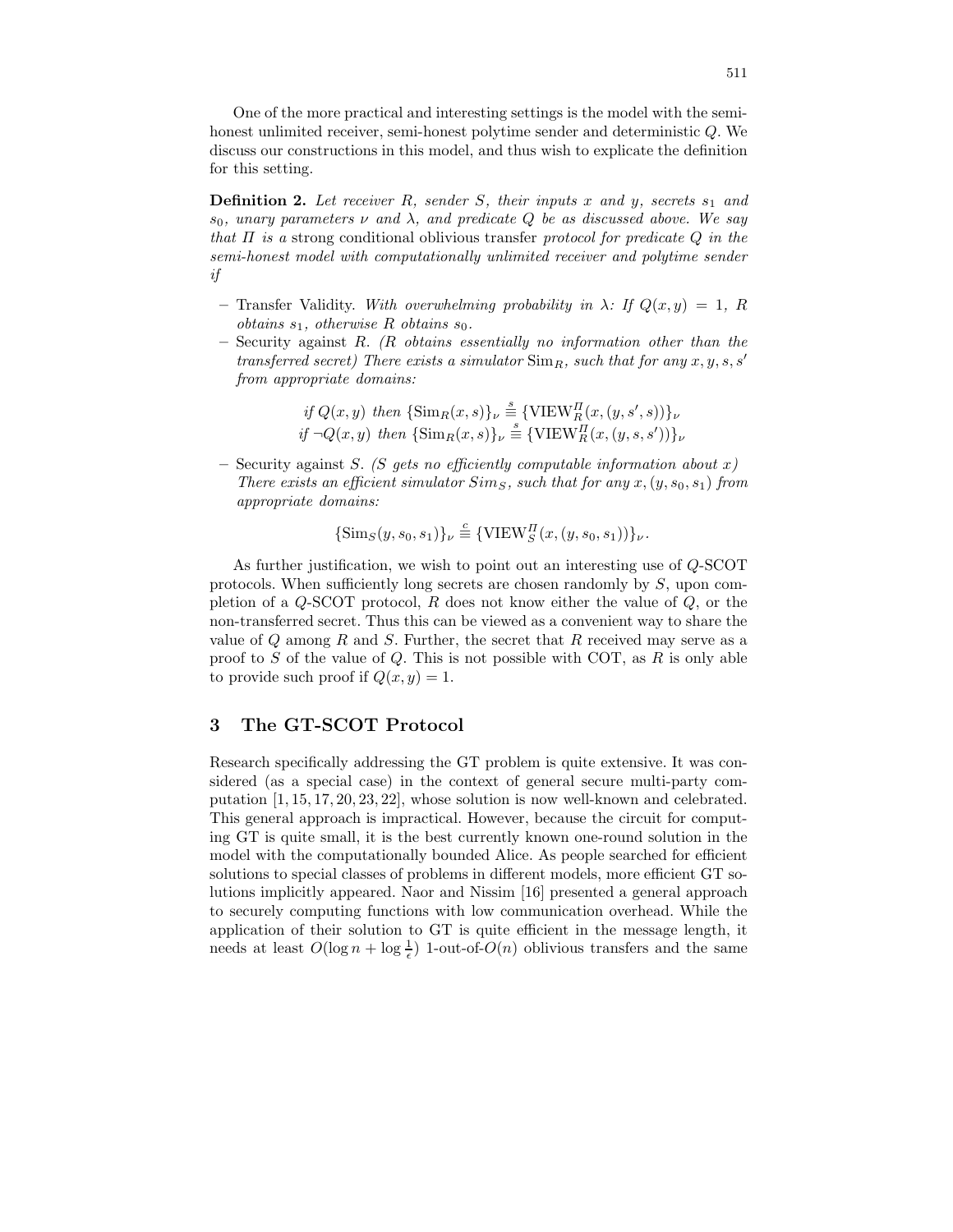One of the more practical and interesting settings is the model with the semihonest unlimited receiver, semi-honest polytime sender and deterministic Q. We discuss our constructions in this model, and thus wish to explicate the definition for this setting.

**Definition 2.** Let receiver R, sender S, their inputs x and y, secrets  $s_1$  and s<sub>0</sub>, unary parameters  $\nu$  and  $\lambda$ , and predicate Q be as discussed above. We say that  $\Pi$  is a strong conditional oblivious transfer protocol for predicate  $Q$  in the semi-honest model with computationally unlimited receiver and polytime sender if

- Transfer Validity. With overwhelming probability in  $\lambda$ : If  $Q(x, y) = 1$ , R obtains  $s_1$ , otherwise R obtains  $s_0$ .
- Security against  $R$ . ( $R$  obtains essentially no information other than the transferred secret) There exists a simulator  $\text{Sim}_R$ , such that for any  $x, y, s, s'$ from appropriate domains:
	- if  $Q(x, y)$  then  $\{\text{Sim}_R(x, s)\}_\nu \stackrel{s}{\equiv} \{\text{VIEW}_R^{\Pi}(x, (y, s', s))\}_\nu$  $if \neg Q(x, y)$  then  $\{\text{Sim}_R(x, s)\}_\nu \stackrel{s}{=} \{\text{VIEW}_R^H(x, (y, s, s'))\}_\nu$
- Security against S. (S gets no efficiently computable information about x) There exists an efficient simulator  $Sim_S$ , such that for any  $x, (y, s_0, s_1)$  from appropriate domains:

$$
{\{\mathop{\rm Sim}\nolimits_S(y,s_0,s_1)\}_\nu \stackrel{c}{\equiv} {\{\mathop{\rm VIEW}}\nolimits_S^{\Pi}(x,(y,s_0,s_1))\}_\nu}.
$$

As further justification, we wish to point out an interesting use of Q-SCOT protocols. When sufficiently long secrets are chosen randomly by  $S$ , upon completion of a  $Q$ -SCOT protocol, R does not know either the value of  $Q$ , or the non-transferred secret. Thus this can be viewed as a convenient way to share the value of  $Q$  among  $R$  and  $S$ . Further, the secret that  $R$  received may serve as a proof to S of the value of Q. This is not possible with COT, as  $R$  is only able to provide such proof if  $Q(x, y) = 1$ .

## 3 The GT-SCOT Protocol

Research specifically addressing the GT problem is quite extensive. It was considered (as a special case) in the context of general secure multi-party computation [1, 15, 17, 20, 23, 22], whose solution is now well-known and celebrated. This general approach is impractical. However, because the circuit for computing GT is quite small, it is the best currently known one-round solution in the model with the computationally bounded Alice. As people searched for efficient solutions to special classes of problems in different models, more efficient GT solutions implicitly appeared. Naor and Nissim [16] presented a general approach to securely computing functions with low communication overhead. While the application of their solution to GT is quite efficient in the message length, it needs at least  $O(\log n + \log \frac{1}{\epsilon})$  1-out-of- $O(n)$  oblivious transfers and the same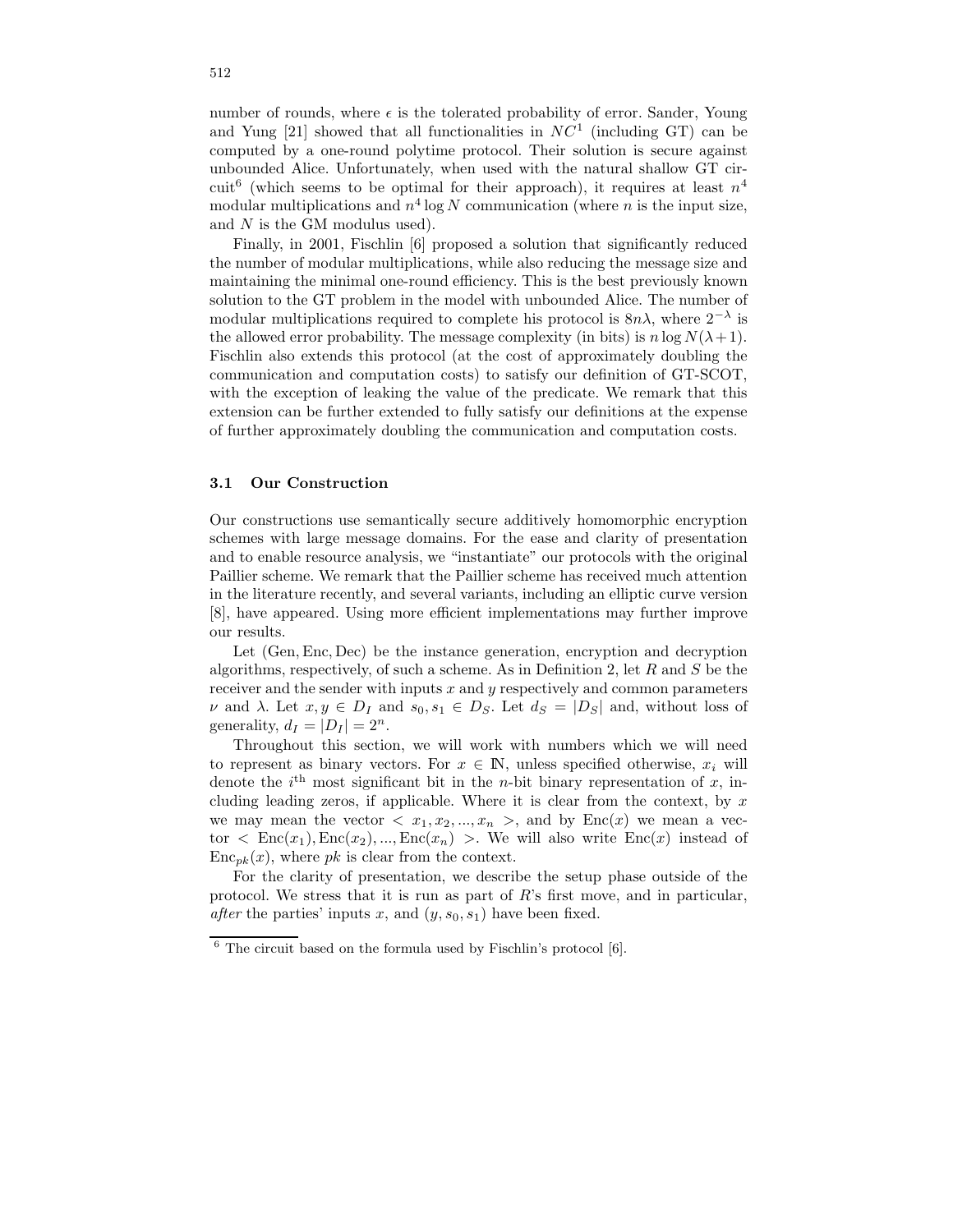number of rounds, where  $\epsilon$  is the tolerated probability of error. Sander, Young and Yung  $[21]$  showed that all functionalities in  $NC<sup>1</sup>$  (including GT) can be computed by a one-round polytime protocol. Their solution is secure against unbounded Alice. Unfortunately, when used with the natural shallow GT circuit<sup>6</sup> (which seems to be optimal for their approach), it requires at least  $n^4$ modular multiplications and  $n^4 \log N$  communication (where n is the input size, and N is the GM modulus used).

Finally, in 2001, Fischlin [6] proposed a solution that significantly reduced the number of modular multiplications, while also reducing the message size and maintaining the minimal one-round efficiency. This is the best previously known solution to the GT problem in the model with unbounded Alice. The number of modular multiplications required to complete his protocol is  $8n\lambda$ , where  $2^{-\lambda}$  is the allowed error probability. The message complexity (in bits) is  $n \log N(\lambda + 1)$ . Fischlin also extends this protocol (at the cost of approximately doubling the communication and computation costs) to satisfy our definition of GT-SCOT, with the exception of leaking the value of the predicate. We remark that this extension can be further extended to fully satisfy our definitions at the expense of further approximately doubling the communication and computation costs.

#### 3.1 Our Construction

Our constructions use semantically secure additively homomorphic encryption schemes with large message domains. For the ease and clarity of presentation and to enable resource analysis, we "instantiate" our protocols with the original Paillier scheme. We remark that the Paillier scheme has received much attention in the literature recently, and several variants, including an elliptic curve version [8], have appeared. Using more efficient implementations may further improve our results.

Let (Gen, Enc, Dec) be the instance generation, encryption and decryption algorithms, respectively, of such a scheme. As in Definition 2, let R and S be the receiver and the sender with inputs  $x$  and  $y$  respectively and common parameters  $\nu$  and  $\lambda$ . Let  $x, y \in D_I$  and  $s_0, s_1 \in D_S$ . Let  $d_S = |D_S|$  and, without loss of generality,  $d_I = |D_I| = 2^n$ .

Throughout this section, we will work with numbers which we will need to represent as binary vectors. For  $x \in \mathbb{N}$ , unless specified otherwise,  $x_i$  will denote the  $i<sup>th</sup>$  most significant bit in the *n*-bit binary representation of *x*, including leading zeros, if applicable. Where it is clear from the context, by  $x$ we may mean the vector  $\langle x_1, x_2, ..., x_n \rangle$ , and by  $Enc(x)$  we mean a vector  $\langle \text{Enc}(x_1), \text{Enc}(x_2), ..., \text{Enc}(x_n) \rangle$ . We will also write  $\text{Enc}(x)$  instead of  $Enc_{pk}(x)$ , where pk is clear from the context.

For the clarity of presentation, we describe the setup phase outside of the protocol. We stress that it is run as part of  $R$ 's first move, and in particular, after the parties' inputs x, and  $(y, s_0, s_1)$  have been fixed.

 $6$  The circuit based on the formula used by Fischlin's protocol [6].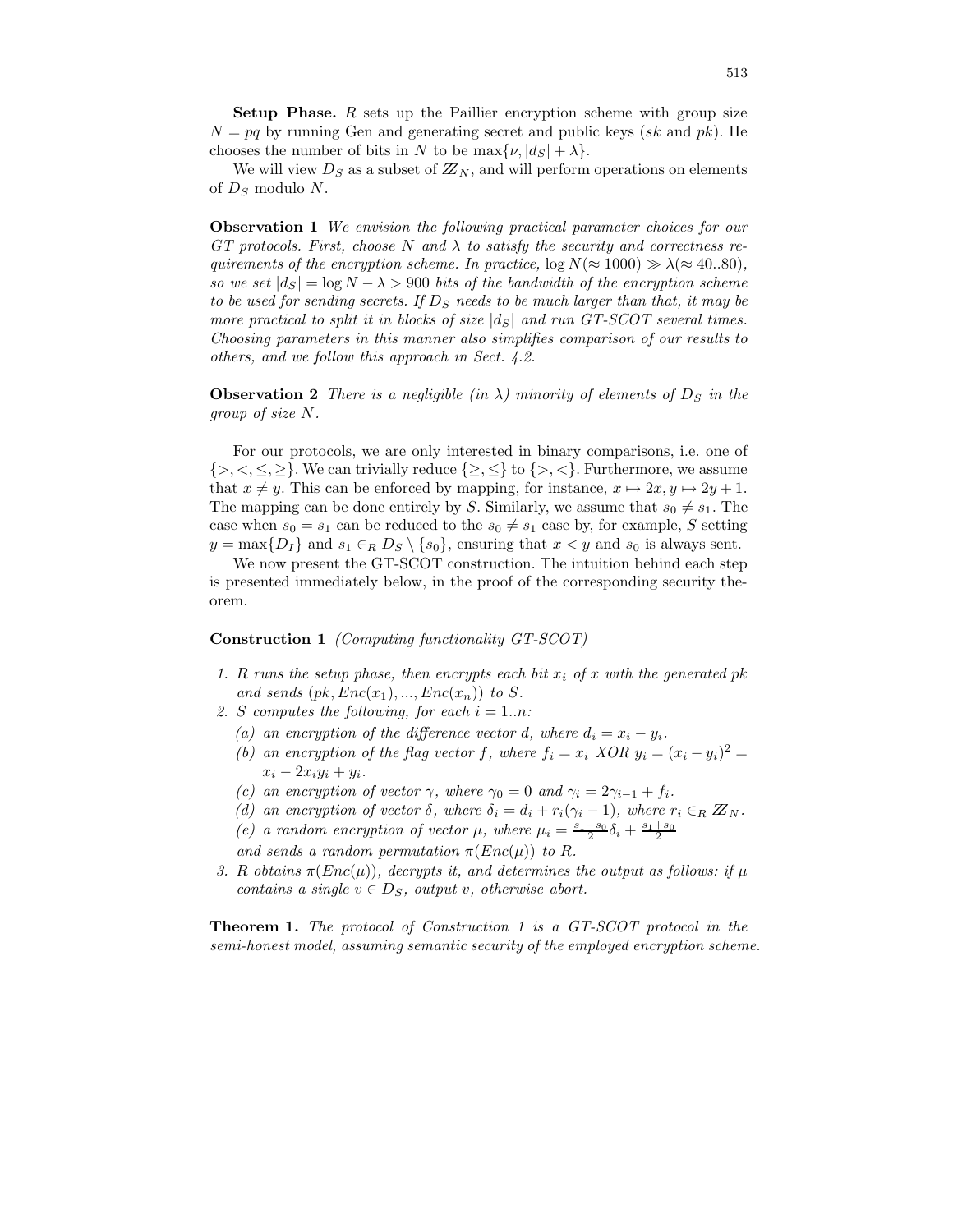**Setup Phase.**  $R$  sets up the Paillier encryption scheme with group size  $N = pq$  by running Gen and generating secret and public keys (sk and pk). He chooses the number of bits in N to be  $\max\{\nu, |d_S| + \lambda\}.$ 

We will view  $D_S$  as a subset of  $\mathbb{Z}_N$ , and will perform operations on elements of  $D<sub>S</sub>$  modulo N.

Observation 1 We envision the following practical parameter choices for our GT protocols. First, choose N and  $\lambda$  to satisfy the security and correctness requirements of the encryption scheme. In practice,  $log N(\approx 1000) \gg \lambda (\approx 40.80)$ , so we set  $|d_S| = \log N - \lambda > 900$  bits of the bandwidth of the encryption scheme to be used for sending secrets. If  $D<sub>S</sub>$  needs to be much larger than that, it may be more practical to split it in blocks of size  $|d_S|$  and run GT-SCOT several times. Choosing parameters in this manner also simplifies comparison of our results to others, and we follow this approach in Sect. 4.2.

**Observation 2** There is a negligible (in  $\lambda$ ) minority of elements of  $D<sub>S</sub>$  in the group of size N.

For our protocols, we are only interested in binary comparisons, i.e. one of  $\{>, <, \leq, \geq\}.$  We can trivially reduce  $\{\geq, \leq\}$  to  $\{>, <\}.$  Furthermore, we assume that  $x \neq y$ . This can be enforced by mapping, for instance,  $x \mapsto 2x, y \mapsto 2y + 1$ . The mapping can be done entirely by S. Similarly, we assume that  $s_0 \neq s_1$ . The case when  $s_0 = s_1$  can be reduced to the  $s_0 \neq s_1$  case by, for example, S setting  $y = \max\{D_I\}$  and  $s_1 \in_R D_S \setminus \{s_0\}$ , ensuring that  $x < y$  and  $s_0$  is always sent.

We now present the GT-SCOT construction. The intuition behind each step is presented immediately below, in the proof of the corresponding security theorem.

Construction 1 (Computing functionality GT-SCOT)

- 1. R runs the setup phase, then encrypts each bit  $x_i$  of x with the generated pk and sends  $(pk, Enc(x_1), ..., Enc(x_n))$  to S.
- 2. S computes the following, for each  $i = 1..n$ :
	- (a) an encryption of the difference vector d, where  $d_i = x_i y_i$ .
	- (b) an encryption of the flag vector f, where  $f_i = x_i$   $XOR$   $y_i = (x_i y_i)^2 =$  $x_i - 2x_iy_i + y_i.$
	- (c) an encryption of vector  $\gamma$ , where  $\gamma_0 = 0$  and  $\gamma_i = 2\gamma_{i-1} + f_i$ .
	- (d) an encryption of vector  $\delta$ , where  $\delta_i = d_i + r_i(\gamma_i 1)$ , where  $r_i \in_R \mathbb{Z}_N$ .
	- (e) a random encryption of vector  $\mu$ , where  $\mu_i = \frac{s_1 s_0}{2} \delta_i + \frac{s_1 + s_0}{2}$
	- and sends a random permutation  $\pi(Enc(\mu))$  to R.
- 3. R obtains  $\pi(Enc(\mu))$ , decrypts it, and determines the output as follows: if  $\mu$ contains a single  $v \in D_S$ , output v, otherwise abort.

Theorem 1. The protocol of Construction 1 is a GT-SCOT protocol in the semi-honest model, assuming semantic security of the employed encryption scheme.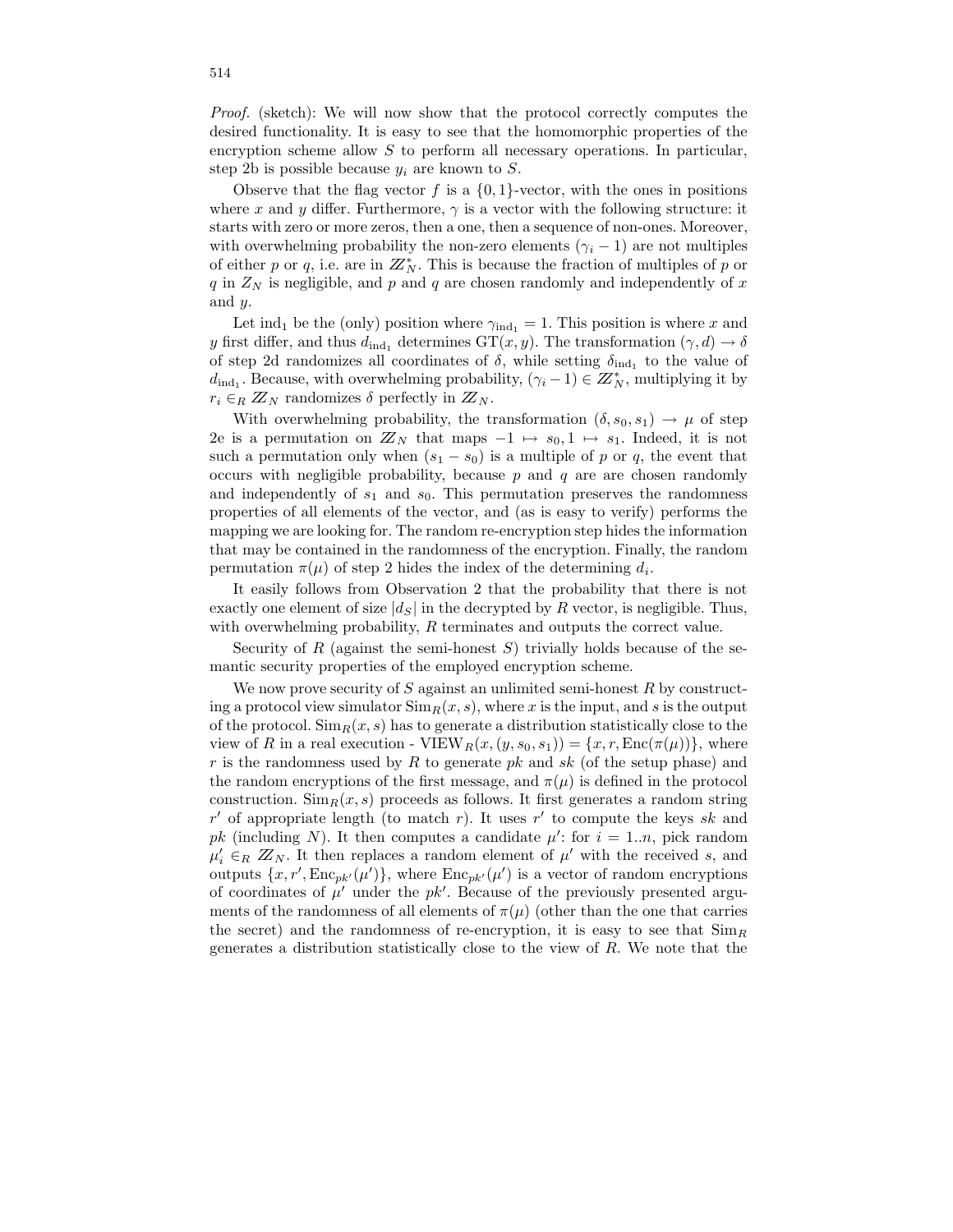Proof. (sketch): We will now show that the protocol correctly computes the desired functionality. It is easy to see that the homomorphic properties of the encryption scheme allow  $S$  to perform all necessary operations. In particular, step 2b is possible because  $y_i$  are known to S.

Observe that the flag vector f is a  $\{0, 1\}$ -vector, with the ones in positions where x and y differ. Furthermore,  $\gamma$  is a vector with the following structure: it starts with zero or more zeros, then a one, then a sequence of non-ones. Moreover, with overwhelming probability the non-zero elements  $(\gamma_i - 1)$  are not multiples of either p or q, i.e. are in  $\mathbb{Z}_N^*$ . This is because the fraction of multiples of p or q in  $Z_N$  is negligible, and p and q are chosen randomly and independently of x and  $y$ .

Let ind<sub>1</sub> be the (only) position where  $\gamma_{ind_1} = 1$ . This position is where x and y first differ, and thus  $d_{ind_1}$  determines  $GT(x, y)$ . The transformation  $(\gamma, d) \rightarrow \delta$ of step 2d randomizes all coordinates of  $\delta$ , while setting  $\delta_{ind_1}$  to the value of  $d_{\text{ind}_1}$ . Because, with overwhelming probability,  $(\gamma_i - 1) \in \mathbb{Z}_N^*$ , multiplying it by  $r_i \in_R \mathbb{Z}_N$  randomizes  $\delta$  perfectly in  $\mathbb{Z}_N$ .

With overwhelming probability, the transformation  $(\delta, s_0, s_1) \rightarrow \mu$  of step 2e is a permutation on  $Z_N$  that maps  $-1 \mapsto s_{0}, 1 \mapsto s_1$ . Indeed, it is not such a permutation only when  $(s_1 - s_0)$  is a multiple of p or q, the event that occurs with negligible probability, because  $p$  and  $q$  are are chosen randomly and independently of  $s_1$  and  $s_0$ . This permutation preserves the randomness properties of all elements of the vector, and (as is easy to verify) performs the mapping we are looking for. The random re-encryption step hides the information that may be contained in the randomness of the encryption. Finally, the random permutation  $\pi(\mu)$  of step 2 hides the index of the determining  $d_i$ .

It easily follows from Observation 2 that the probability that there is not exactly one element of size  $|d_S|$  in the decrypted by R vector, is negligible. Thus, with overwhelming probability, R terminates and outputs the correct value.

Security of R (against the semi-honest S) trivially holds because of the semantic security properties of the employed encryption scheme.

We now prove security of S against an unlimited semi-honest  $R$  by constructing a protocol view simulator  $\text{Sim}_R(x, s)$ , where x is the input, and s is the output of the protocol.  $\text{Sim}_R(x, s)$  has to generate a distribution statistically close to the view of R in a real execution - VIEW<sub>R</sub> $(x,(y,s_0,s_1)) = \{x,r,\text{Enc}(\pi(\mu))\},$  where r is the randomness used by R to generate pk and sk (of the setup phase) and the random encryptions of the first message, and  $\pi(\mu)$  is defined in the protocol construction.  $\text{Sim}_R(x, s)$  proceeds as follows. It first generates a random string r' of appropriate length (to match r). It uses r' to compute the keys sk and pk (including N). It then computes a candidate  $\mu'$ : for  $i = 1..n$ , pick random  $\mu'_i \in_R Z_N$ . It then replaces a random element of  $\mu'$  with the received s, and outputs  $\{x, r', \text{Enc}_{pk'}(\mu')\}$ , where  $\text{Enc}_{pk'}(\mu')$  is a vector of random encryptions of coordinates of  $\mu'$  under the pk'. Because of the previously presented arguments of the randomness of all elements of  $\pi(\mu)$  (other than the one that carries the secret) and the randomness of re-encryption, it is easy to see that  $\text{Sim}_{R}$ generates a distribution statistically close to the view of  $R$ . We note that the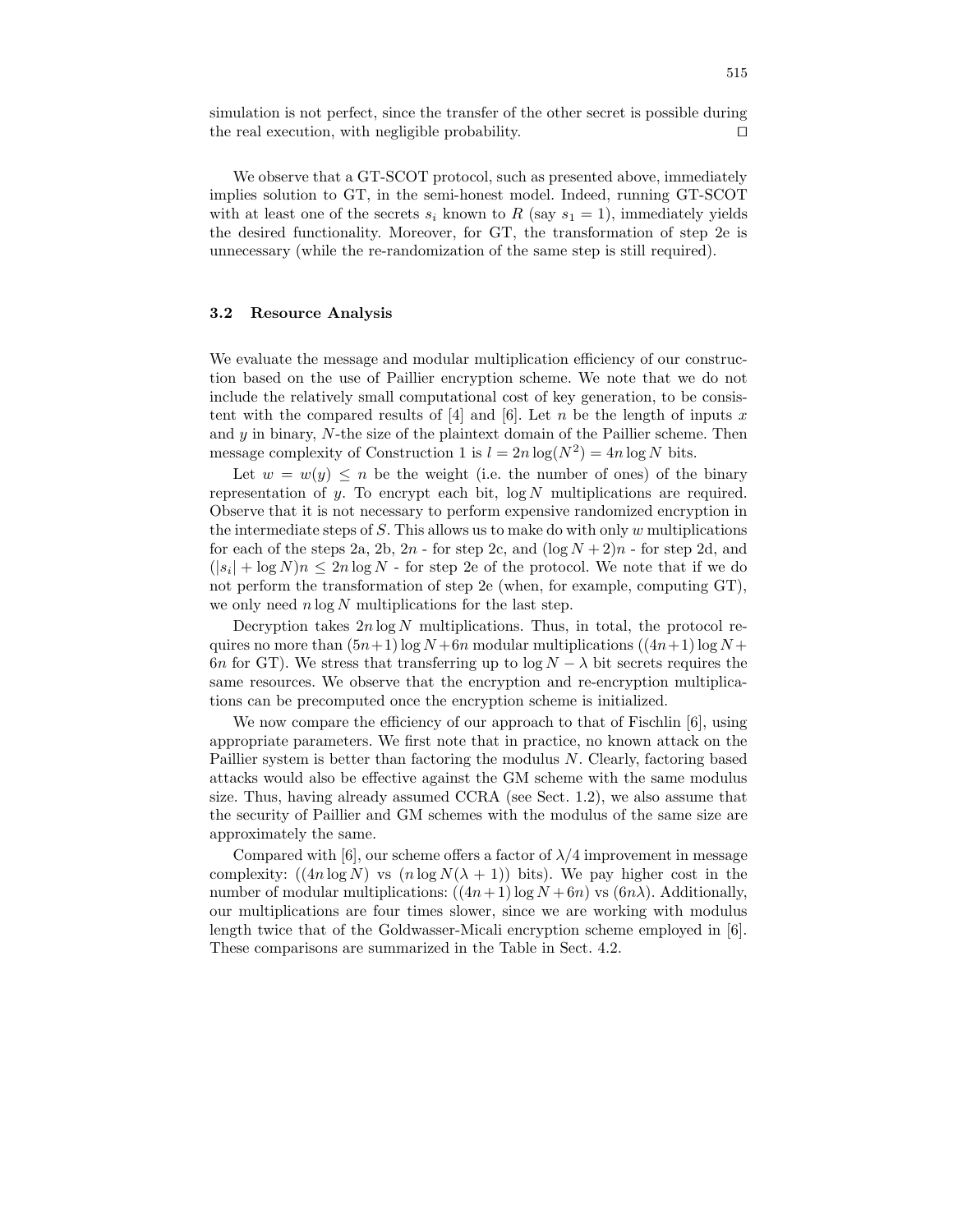simulation is not perfect, since the transfer of the other secret is possible during the real execution, with negligible probability.  $\Box$ 

We observe that a GT-SCOT protocol, such as presented above, immediately implies solution to GT, in the semi-honest model. Indeed, running GT-SCOT with at least one of the secrets  $s_i$  known to R (say  $s_1 = 1$ ), immediately yields the desired functionality. Moreover, for GT, the transformation of step 2e is unnecessary (while the re-randomization of the same step is still required).

#### 3.2 Resource Analysis

We evaluate the message and modular multiplication efficiency of our construction based on the use of Paillier encryption scheme. We note that we do not include the relatively small computational cost of key generation, to be consistent with the compared results of [4] and [6]. Let n be the length of inputs x and  $y$  in binary,  $N$ -the size of the plaintext domain of the Paillier scheme. Then message complexity of Construction 1 is  $l = 2n \log(N^2) = 4n \log N$  bits.

Let  $w = w(y) \leq n$  be the weight (i.e. the number of ones) of the binary representation of y. To encrypt each bit,  $\log N$  multiplications are required. Observe that it is not necessary to perform expensive randomized encryption in the intermediate steps of  $S$ . This allows us to make do with only  $w$  multiplications for each of the steps 2a, 2b,  $2n$  - for step 2c, and  $(\log N + 2)n$  - for step 2d, and  $(|s_i| + \log N)n \leq 2n \log N$  - for step 2e of the protocol. We note that if we do not perform the transformation of step 2e (when, for example, computing GT), we only need  $n \log N$  multiplications for the last step.

Decryption takes  $2n \log N$  multiplications. Thus, in total, the protocol requires no more than  $(5n+1)$  log  $N+6n$  modular multiplications  $((4n+1)\log N +$ 6n for GT). We stress that transferring up to  $\log N - \lambda$  bit secrets requires the same resources. We observe that the encryption and re-encryption multiplications can be precomputed once the encryption scheme is initialized.

We now compare the efficiency of our approach to that of Fischlin [6], using appropriate parameters. We first note that in practice, no known attack on the Paillier system is better than factoring the modulus N. Clearly, factoring based attacks would also be effective against the GM scheme with the same modulus size. Thus, having already assumed CCRA (see Sect. 1.2), we also assume that the security of Paillier and GM schemes with the modulus of the same size are approximately the same.

Compared with [6], our scheme offers a factor of  $\lambda/4$  improvement in message complexity:  $((4n \log N)$  vs  $(n \log N(\lambda + 1))$  bits). We pay higher cost in the number of modular multiplications:  $((4n+1)\log N + 6n)$  vs  $(6n\lambda)$ . Additionally, our multiplications are four times slower, since we are working with modulus length twice that of the Goldwasser-Micali encryption scheme employed in [6]. These comparisons are summarized in the Table in Sect. 4.2.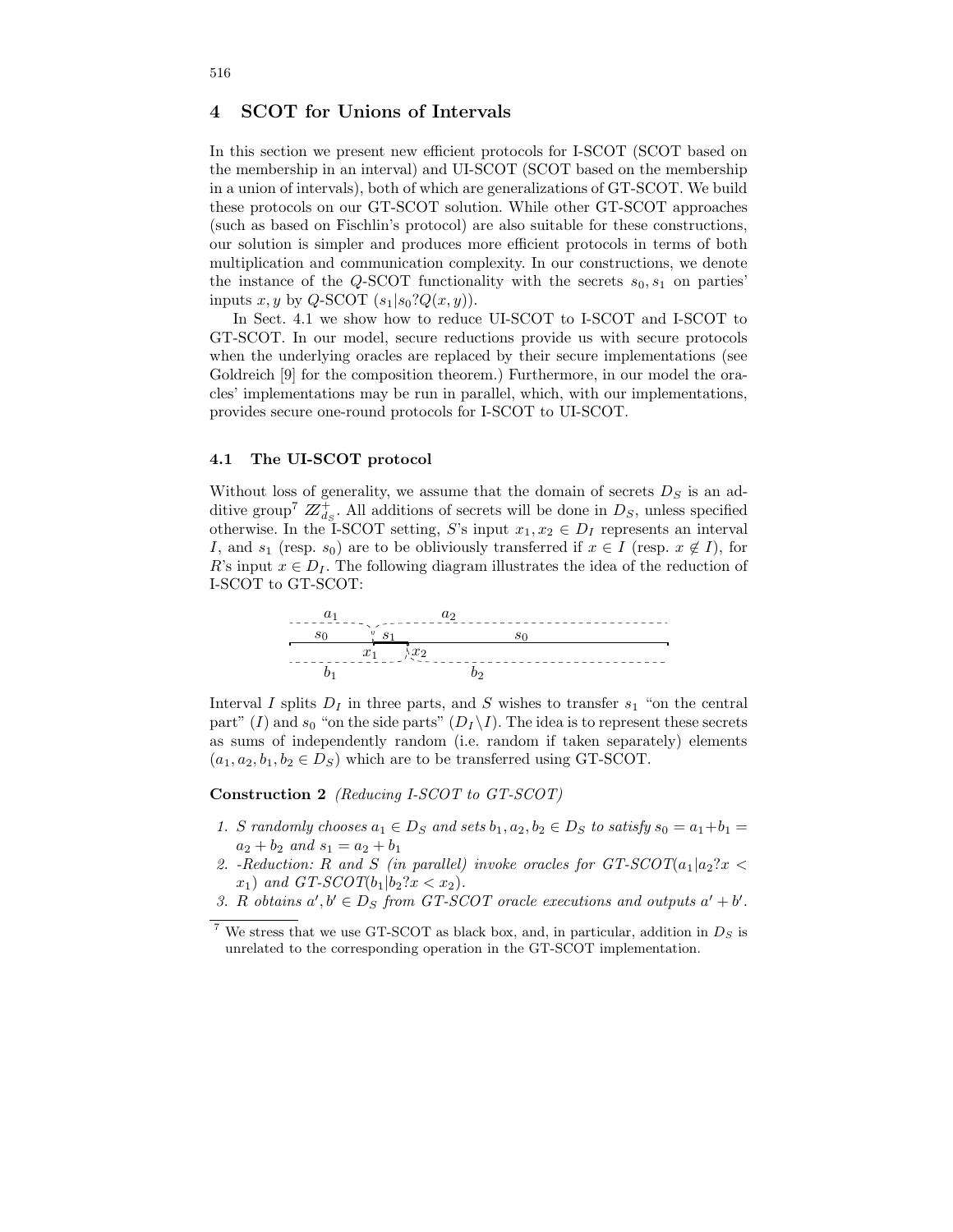# 4 SCOT for Unions of Intervals

In this section we present new efficient protocols for I-SCOT (SCOT based on the membership in an interval) and UI-SCOT (SCOT based on the membership in a union of intervals), both of which are generalizations of GT-SCOT. We build these protocols on our GT-SCOT solution. While other GT-SCOT approaches (such as based on Fischlin's protocol) are also suitable for these constructions, our solution is simpler and produces more efficient protocols in terms of both multiplication and communication complexity. In our constructions, we denote the instance of the Q-SCOT functionality with the secrets  $s_0, s_1$  on parties' inputs x, y by Q-SCOT  $(s_1|s_0?Q(x,y))$ .

In Sect. 4.1 we show how to reduce UI-SCOT to I-SCOT and I-SCOT to GT-SCOT. In our model, secure reductions provide us with secure protocols when the underlying oracles are replaced by their secure implementations (see Goldreich [9] for the composition theorem.) Furthermore, in our model the oracles' implementations may be run in parallel, which, with our implementations, provides secure one-round protocols for I-SCOT to UI-SCOT.

#### 4.1 The UI-SCOT protocol

Without loss of generality, we assume that the domain of secrets  $D<sub>S</sub>$  is an additive group<sup>7</sup>  $\mathbb{Z}_{d_S}^+$ . All additions of secrets will be done in  $D_S$ , unless specified otherwise. In the I-SCOT setting, S's input  $x_1, x_2 \in D_I$  represents an interval I, and  $s_1$  (resp.  $s_0$ ) are to be obliviously transferred if  $x \in I$  (resp.  $x \notin I$ ), for R's input  $x \in D_I$ . The following diagram illustrates the idea of the reduction of I-SCOT to GT-SCOT:



Interval I splits  $D_I$  in three parts, and S wishes to transfer  $s_1$  "on the central part" (I) and  $s_0$  "on the side parts"  $(D_I \backslash I)$ . The idea is to represent these secrets as sums of independently random (i.e. random if taken separately) elements  $(a_1, a_2, b_1, b_2 \in D_S)$  which are to be transferred using GT-SCOT.

Construction 2 (Reducing I-SCOT to GT-SCOT)

- 1. S randomly chooses  $a_1 \in D_S$  and sets  $b_1, a_2, b_2 \in D_S$  to satisfy  $s_0 = a_1 + b_1 =$  $a_2 + b_2$  and  $s_1 = a_2 + b_1$
- 2. -Reduction: R and S (in parallel) invoke oracles for  $GT\text{-}SCOT(a_1|a_2?x <$  $x_1$ ) and GT-SCOT( $b_1|b_2$ ? $x < x_2$ ).
- 3. R obtains  $a', b' \in D_S$  from GT-SCOT oracle executions and outputs  $a' + b'$ .

<sup>&</sup>lt;sup>7</sup> We stress that we use GT-SCOT as black box, and, in particular, addition in  $D<sub>S</sub>$  is unrelated to the corresponding operation in the GT-SCOT implementation.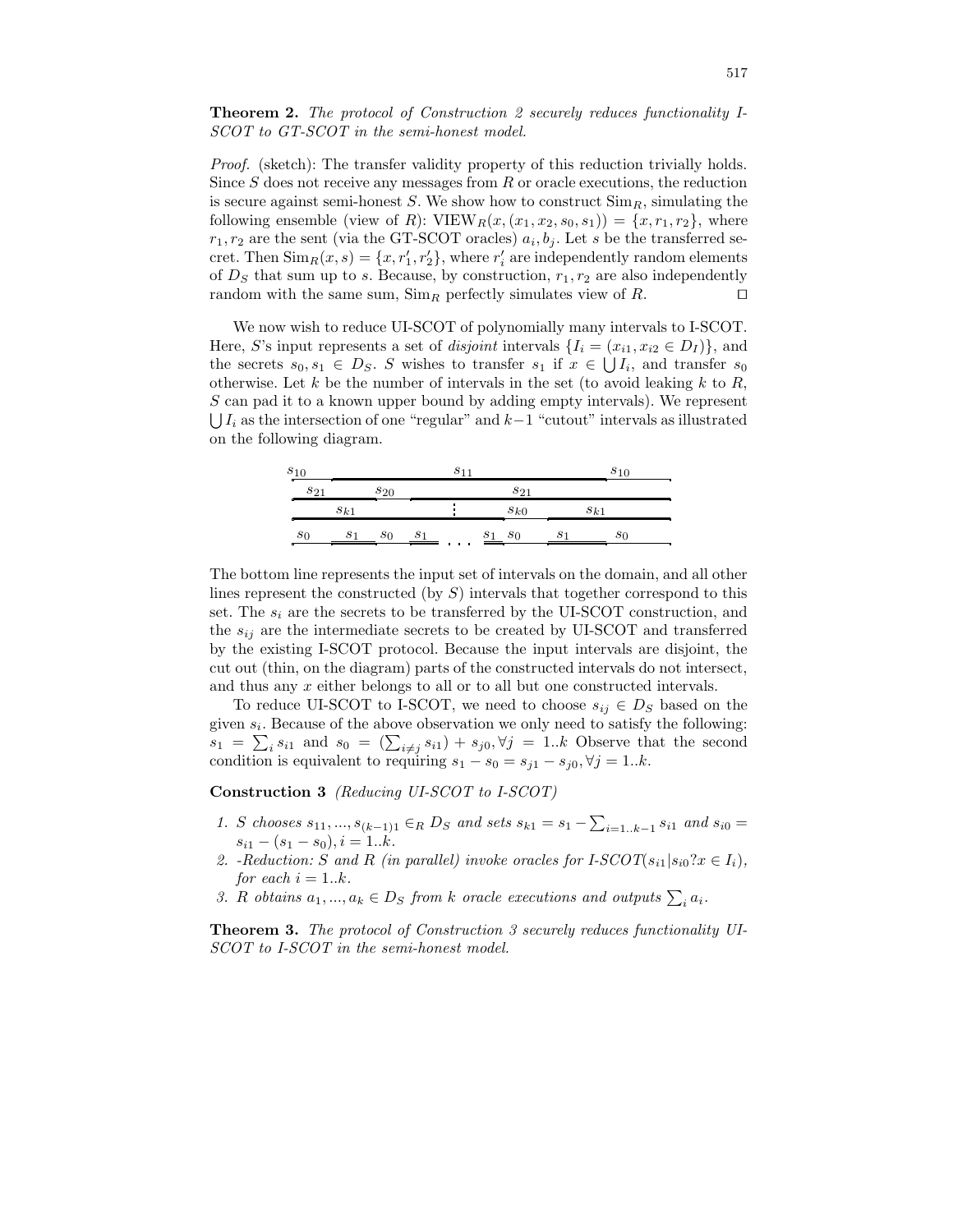## Theorem 2. The protocol of Construction 2 securely reduces functionality I-SCOT to GT-SCOT in the semi-honest model.

Proof. (sketch): The transfer validity property of this reduction trivially holds. Since  $S$  does not receive any messages from  $R$  or oracle executions, the reduction is secure against semi-honest S. We show how to construct  $\text{Sim}_R$ , simulating the following ensemble (view of R):  $VIEW_R(x,(x_1,x_2,s_0,s_1)) = \{x,r_1,r_2\}$ , where  $r_1, r_2$  are the sent (via the GT-SCOT oracles)  $a_i, b_j$ . Let s be the transferred secret. Then  $\text{Sim}_R(x, s) = \{x, r'_1, r'_2\}$ , where  $r'_i$  are independently random elements of  $D<sub>S</sub>$  that sum up to s. Because, by construction,  $r<sub>1</sub>, r<sub>2</sub>$  are also independently random with the same sum,  $\text{Sim}_R$  perfectly simulates view of R.  $\Box$ 

We now wish to reduce UI-SCOT of polynomially many intervals to I-SCOT. Here, S's input represents a set of *disjoint* intervals  $\{I_i = (x_{i1}, x_{i2} \in D_I)\}\$ , and the secrets  $s_0, s_1 \in D_S$ . S wishes to transfer  $s_1$  if  $x \in \bigcup I_i$ , and transfer  $s_0$ otherwise. Let  $k$  be the number of intervals in the set (to avoid leaking  $k$  to  $R$ , S can pad it to a known upper bound by adding empty intervals). We represent  $\bigcup I_i$  as the intersection of one "regular" and k−1 "cutout" intervals as illustrated on the following diagram.

| $s_{10}$ |                |          | $S_{11}$ |             | $s_{10}$ |     |  |
|----------|----------------|----------|----------|-------------|----------|-----|--|
| $s_{21}$ |                | $s_{20}$ |          | $S_{21}$    |          |     |  |
| $s_{k1}$ |                |          | $s_{k0}$ |             | $s_{k1}$ |     |  |
| $s_0$    | S <sub>1</sub> | $s_0$    |          | $s_1$ $s_0$ | -21      | -So |  |

The bottom line represents the input set of intervals on the domain, and all other lines represent the constructed (by  $S$ ) intervals that together correspond to this set. The  $s_i$  are the secrets to be transferred by the UI-SCOT construction, and the  $s_{ij}$  are the intermediate secrets to be created by UI-SCOT and transferred by the existing I-SCOT protocol. Because the input intervals are disjoint, the cut out (thin, on the diagram) parts of the constructed intervals do not intersect, and thus any x either belongs to all or to all but one constructed intervals.

To reduce UI-SCOT to I-SCOT, we need to choose  $s_{ij} \in D_S$  based on the given  $s_i$ . Because of the above observation we only need to satisfy the following:  $s_1 = \sum_i s_{i1}$  and  $s_0 = (\sum_{i \neq j} s_{i1}) + s_{j0}, \forall j = 1..k$  Observe that the second condition is equivalent to requiring  $s_1 - s_0 = s_{i1} - s_{i0}$ ,  $\forall j = 1..k$ .

Construction 3 (Reducing UI-SCOT to I-SCOT)

- 1. S chooses  $s_{11},...,s_{(k-1)1} \in_R D_S$  and sets  $s_{k1} = s_1 \sum_{i=1..k-1} s_{i1}$  and  $s_{i0} =$  $s_{i1} - (s_1 - s_0), i = 1..k.$
- 2. -Reduction: S and R (in parallel) invoke oracles for I-SCOT( $s_{i1}|s_{i0}$ ? $x \in I_i$ ), for each  $i = 1..k$ .
- 3. R obtains  $a_1, ..., a_k \in D_S$  from k oracle executions and outputs  $\sum_i a_i$ .

Theorem 3. The protocol of Construction 3 securely reduces functionality UI-SCOT to I-SCOT in the semi-honest model.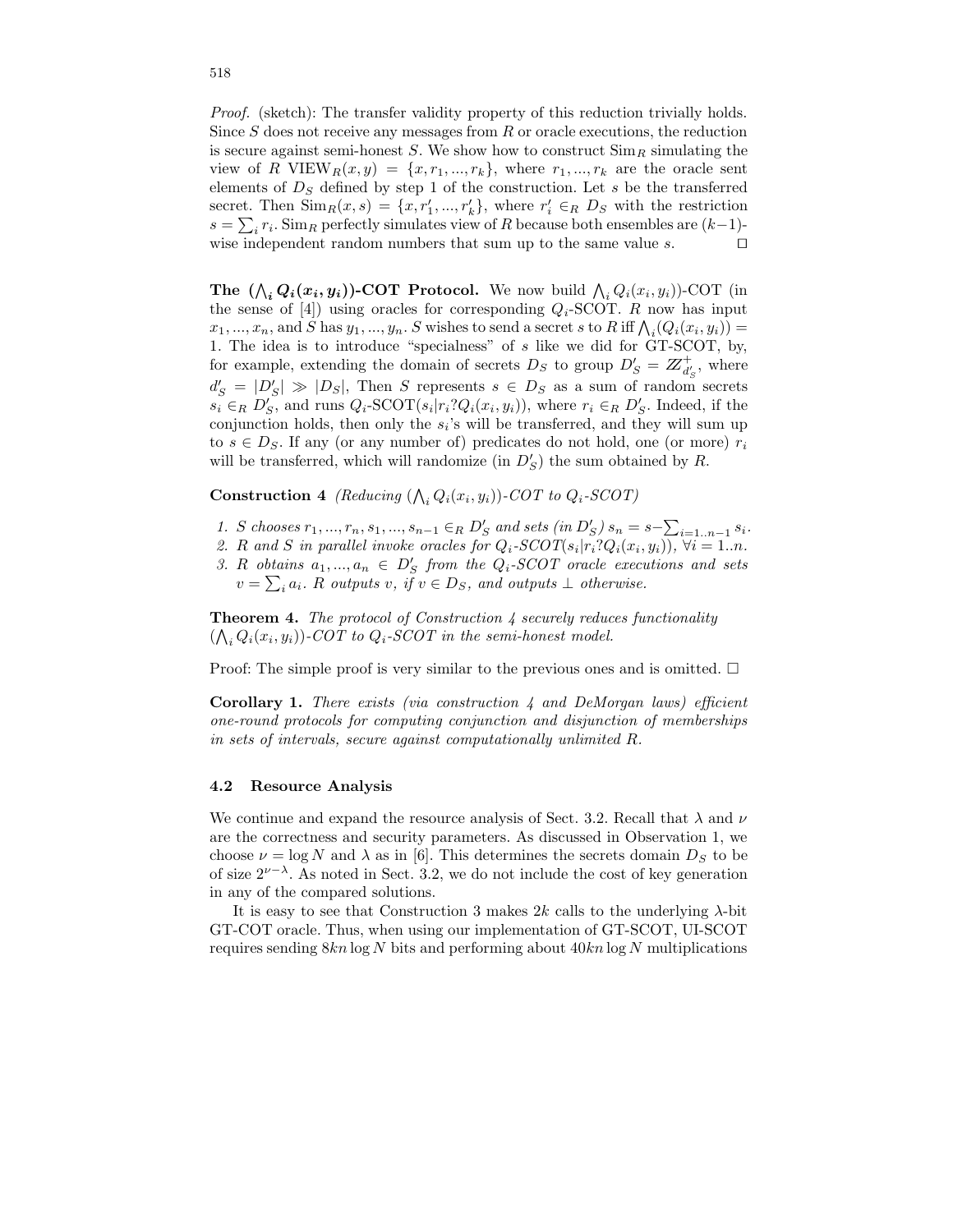Proof. (sketch): The transfer validity property of this reduction trivially holds. Since  $S$  does not receive any messages from  $R$  or oracle executions, the reduction is secure against semi-honest S. We show how to construct  $\text{Sim}_R$  simulating the view of R VIEW<sub>R</sub> $(x, y) = \{x, r_1, ..., r_k\}$ , where  $r_1, ..., r_k$  are the oracle sent elements of  $D<sub>S</sub>$  defined by step 1 of the construction. Let s be the transferred secret. Then  $\text{Sim}_R(x, s) = \{x, r'_1, ..., r'_k\}$ , where  $r'_i \in_R D_S$  with the restriction  $s = \sum_i r_i$ . Sim<sub>R</sub> perfectly simulates view of R because both ensembles are  $(k-1)$ wise independent random numbers that sum up to the same value  $s$ .  $\Box$ 

**The**  $(\bigwedge_i Q_i(x_i, y_i))$ -COT Protocol. We now build  $\bigwedge_i Q_i(x_i, y_i))$ -COT (in the sense of [4]) using oracles for corresponding  $Q_i$ -SCOT. R now has input  $x_1, ..., x_n$ , and S has  $y_1, ..., y_n$ . S wishes to send a secret s to R iff  $\bigwedge_i (Q_i(x_i, y_i)) =$ 1. The idea is to introduce "specialness" of s like we did for GT-SCOT, by, for example, extending the domain of secrets  $D_S$  to group  $D'_S = \mathbb{Z}_{d'_{S}}^+$ , where  $d'_{S} = |D'_{S}| \gg |D_{S}|$ , Then S represents  $s \in D_{S}$  as a sum of random secrets  $s_i \in_R D_S'$ , and runs  $Q_i$ -SCOT $(s_i | r_i?Q_i(x_i, y_i))$ , where  $r_i \in_R D_S'$ . Indeed, if the conjunction holds, then only the  $s_i$ 's will be transferred, and they will sum up to  $s \in D_S$ . If any (or any number of) predicates do not hold, one (or more)  $r_i$ will be transferred, which will randomize (in  $D'_{S}$ ) the sum obtained by R.

**Construction 4** (Reducing  $(\bigwedge_i Q_i(x_i, y_i))$ -COT to  $Q_i$ -SCOT)

- 1. S chooses  $r_1, ..., r_n, s_1, ..., s_{n-1} \in_R D_S'$  and sets  $(in D_S') s_n = s \sum_{i=1...n-1} s_i$ .
- 2. R and S in parallel invoke oracles for  $Q_i$ -SCOT $(s_i | r_i?Q_i(x_i, y_i))$ ,  $\forall i = 1...n$ .
- 3. R obtains  $a_1, ..., a_n \in D'_S$  from the  $Q_i$ -SCOT oracle executions and sets  $v = \sum_i a_i$ . R outputs v, if  $v \in D_S$ , and outputs  $\perp$  otherwise.

**Theorem 4.** The protocol of Construction 4 securely reduces functionality  $(\bigwedge_i Q_i(x_i, y_i))$ -COT to  $Q_i$ -SCOT in the semi-honest model.

Proof: The simple proof is very similar to the previous ones and is omitted.  $\Box$ 

**Corollary 1.** There exists (via construction  $\lambda$  and DeMorgan laws) efficient one-round protocols for computing conjunction and disjunction of memberships in sets of intervals, secure against computationally unlimited R.

#### 4.2 Resource Analysis

We continue and expand the resource analysis of Sect. 3.2. Recall that  $\lambda$  and  $\nu$ are the correctness and security parameters. As discussed in Observation 1, we choose  $\nu = \log N$  and  $\lambda$  as in [6]. This determines the secrets domain  $D<sub>S</sub>$  to be of size  $2^{\nu-\lambda}$ . As noted in Sect. 3.2, we do not include the cost of key generation in any of the compared solutions.

It is easy to see that Construction 3 makes  $2k$  calls to the underlying  $\lambda$ -bit GT-COT oracle. Thus, when using our implementation of GT-SCOT, UI-SCOT requires sending  $8kn \log N$  bits and performing about  $40kn \log N$  multiplications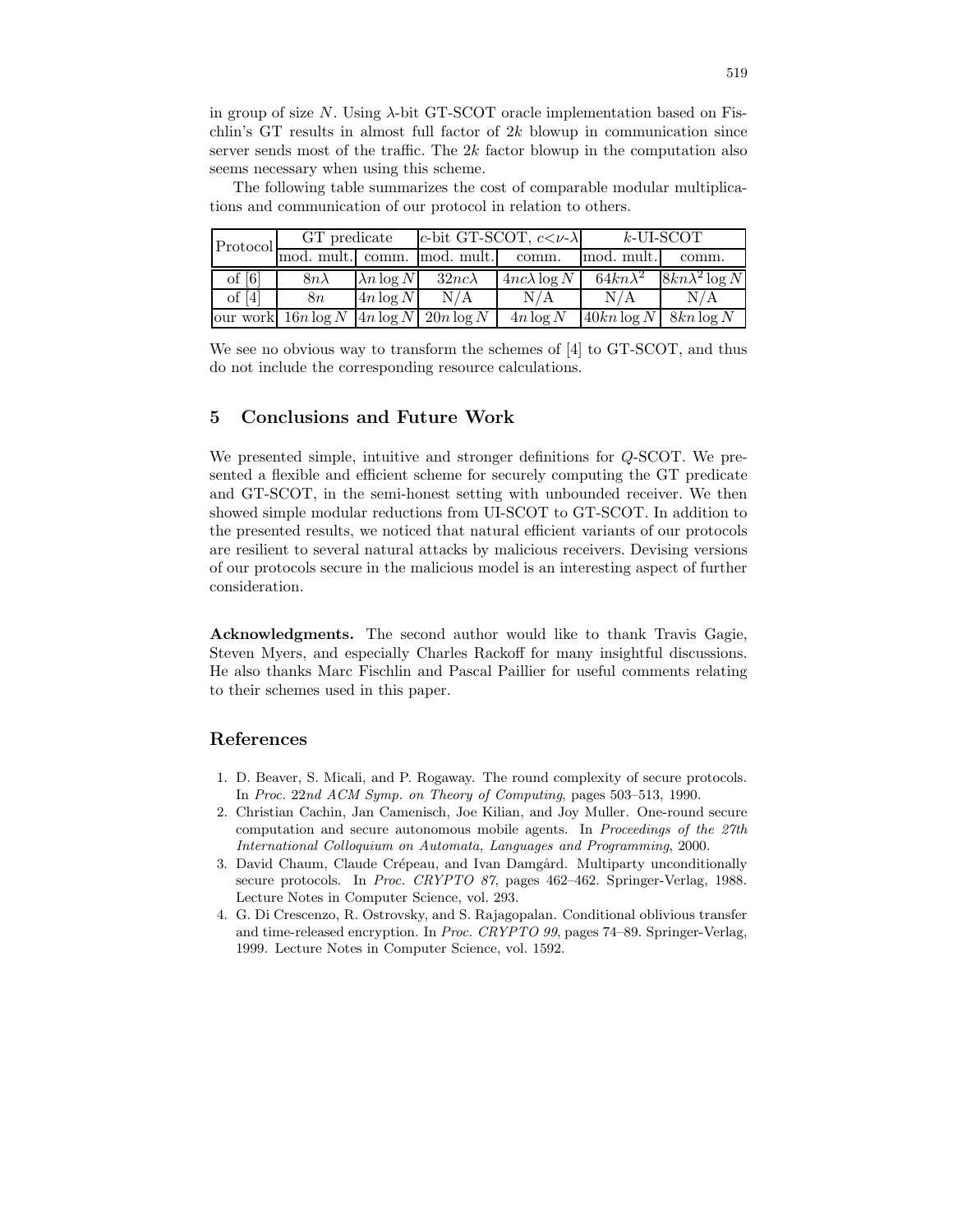in group of size  $N$ . Using  $\lambda$ -bit GT-SCOT oracle implementation based on Fischlin's GT results in almost full factor of  $2k$  blowup in communication since server sends most of the traffic. The  $2k$  factor blowup in the computation also seems necessary when using this scheme.

The following table summarizes the cost of comparable modular multiplications and communication of our protocol in relation to others.

| Protocol mod. mult. comm. mod. mult. comm. | GT predicate                                   |                    |               | c-bit GT-SCOT, $c < \nu-\lambda$ | $k$ -UI-SCOT              |                      |
|--------------------------------------------|------------------------------------------------|--------------------|---------------|----------------------------------|---------------------------|----------------------|
|                                            |                                                |                    |               |                                  | mod. mult.                | comm.                |
| $\sigma$ $[6]$                             | $8n\lambda$                                    | $\lambda n \log N$ | $32nc\lambda$ | $4nc\lambda \log N$              | $64kn\lambda^2$           | $8kn\lambda^2\log N$ |
| of $[4]$                                   | 8n                                             | $4n \log N$        | N/A           | N/A                              | N/A                       | N/A                  |
|                                            | our work $16n \log N$ $4n \log N$ $20n \log N$ |                    |               | $4n \log N$                      | $40kn\log N$ 8kn $\log N$ |                      |

We see no obvious way to transform the schemes of [4] to GT-SCOT, and thus do not include the corresponding resource calculations.

# 5 Conclusions and Future Work

We presented simple, intuitive and stronger definitions for Q-SCOT. We presented a flexible and efficient scheme for securely computing the GT predicate and GT-SCOT, in the semi-honest setting with unbounded receiver. We then showed simple modular reductions from UI-SCOT to GT-SCOT. In addition to the presented results, we noticed that natural efficient variants of our protocols are resilient to several natural attacks by malicious receivers. Devising versions of our protocols secure in the malicious model is an interesting aspect of further consideration.

Acknowledgments. The second author would like to thank Travis Gagie, Steven Myers, and especially Charles Rackoff for many insightful discussions. He also thanks Marc Fischlin and Pascal Paillier for useful comments relating to their schemes used in this paper.

# References

- 1. D. Beaver, S. Micali, and P. Rogaway. The round complexity of secure protocols. In Proc. 22nd ACM Symp. on Theory of Computing, pages 503–513, 1990.
- 2. Christian Cachin, Jan Camenisch, Joe Kilian, and Joy Muller. One-round secure computation and secure autonomous mobile agents. In Proceedings of the 27th International Colloquium on Automata, Languages and Programming, 2000.
- 3. David Chaum, Claude Crépeau, and Ivan Damgård. Multiparty unconditionally secure protocols. In Proc. CRYPTO 87, pages 462–462. Springer-Verlag, 1988. Lecture Notes in Computer Science, vol. 293.
- 4. G. Di Crescenzo, R. Ostrovsky, and S. Rajagopalan. Conditional oblivious transfer and time-released encryption. In Proc. CRYPTO 99, pages 74–89. Springer-Verlag, 1999. Lecture Notes in Computer Science, vol. 1592.